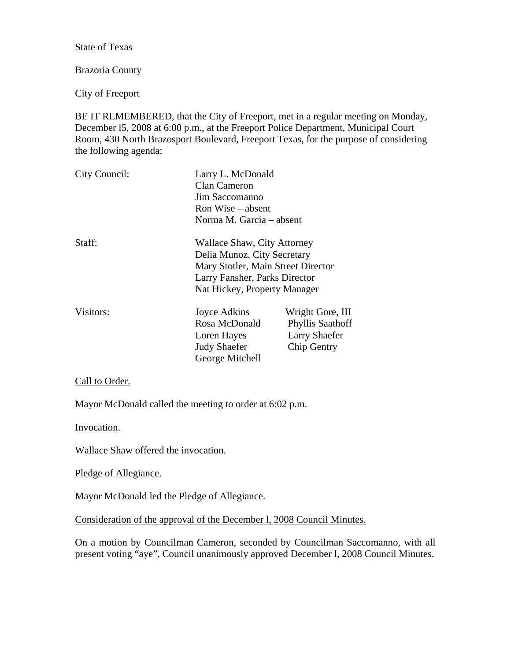State of Texas

## Brazoria County

City of Freeport

BE IT REMEMBERED, that the City of Freeport, met in a regular meeting on Monday, December l5, 2008 at 6:00 p.m., at the Freeport Police Department, Municipal Court Room, 430 North Brazosport Boulevard, Freeport Texas, for the purpose of considering the following agenda:

| City Council: | Larry L. McDonald<br>Clan Cameron<br>Jim Saccomanno<br>Ron Wise – absent<br>Norma M. Garcia – absent                                                              |                                                                                    |
|---------------|-------------------------------------------------------------------------------------------------------------------------------------------------------------------|------------------------------------------------------------------------------------|
| Staff:        | Wallace Shaw, City Attorney<br>Delia Munoz, City Secretary<br>Mary Stotler, Main Street Director<br>Larry Fansher, Parks Director<br>Nat Hickey, Property Manager |                                                                                    |
| Visitors:     | Joyce Adkins<br>Rosa McDonald<br>Loren Hayes<br><b>Judy Shaefer</b><br>George Mitchell                                                                            | Wright Gore, III<br><b>Phyllis Saathoff</b><br><b>Larry Shaefer</b><br>Chip Gentry |

Call to Order.

Mayor McDonald called the meeting to order at 6:02 p.m.

Invocation.

Wallace Shaw offered the invocation.

Pledge of Allegiance.

Mayor McDonald led the Pledge of Allegiance.

Consideration of the approval of the December l, 2008 Council Minutes.

On a motion by Councilman Cameron, seconded by Councilman Saccomanno, with all present voting "aye", Council unanimously approved December l, 2008 Council Minutes.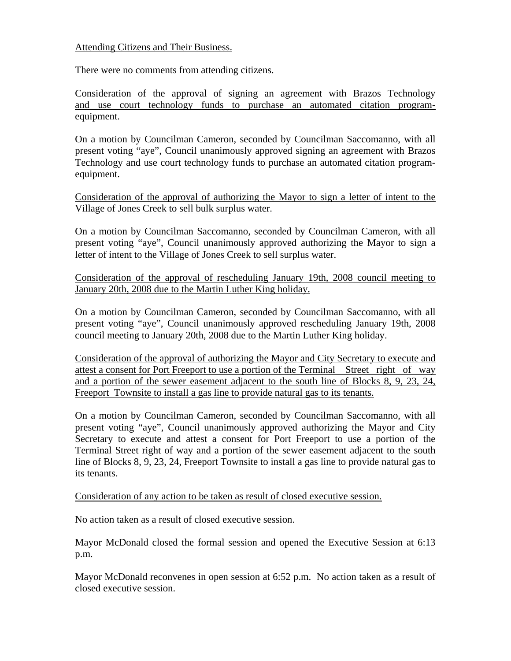Attending Citizens and Their Business.

There were no comments from attending citizens.

Consideration of the approval of signing an agreement with Brazos Technology and use court technology funds to purchase an automated citation programequipment.

On a motion by Councilman Cameron, seconded by Councilman Saccomanno, with all present voting "aye", Council unanimously approved signing an agreement with Brazos Technology and use court technology funds to purchase an automated citation programequipment.

Consideration of the approval of authorizing the Mayor to sign a letter of intent to the Village of Jones Creek to sell bulk surplus water.

On a motion by Councilman Saccomanno, seconded by Councilman Cameron, with all present voting "aye", Council unanimously approved authorizing the Mayor to sign a letter of intent to the Village of Jones Creek to sell surplus water.

Consideration of the approval of rescheduling January 19th, 2008 council meeting to January 20th, 2008 due to the Martin Luther King holiday.

On a motion by Councilman Cameron, seconded by Councilman Saccomanno, with all present voting "aye", Council unanimously approved rescheduling January 19th, 2008 council meeting to January 20th, 2008 due to the Martin Luther King holiday.

Consideration of the approval of authorizing the Mayor and City Secretary to execute and attest a consent for Port Freeport to use a portion of the Terminal Street right of way and a portion of the sewer easement adjacent to the south line of Blocks 8, 9, 23, 24, Freeport Townsite to install a gas line to provide natural gas to its tenants.

On a motion by Councilman Cameron, seconded by Councilman Saccomanno, with all present voting "aye", Council unanimously approved authorizing the Mayor and City Secretary to execute and attest a consent for Port Freeport to use a portion of the Terminal Street right of way and a portion of the sewer easement adjacent to the south line of Blocks 8, 9, 23, 24, Freeport Townsite to install a gas line to provide natural gas to its tenants.

Consideration of any action to be taken as result of closed executive session.

No action taken as a result of closed executive session.

Mayor McDonald closed the formal session and opened the Executive Session at 6:13 p.m.

Mayor McDonald reconvenes in open session at 6:52 p.m. No action taken as a result of closed executive session.